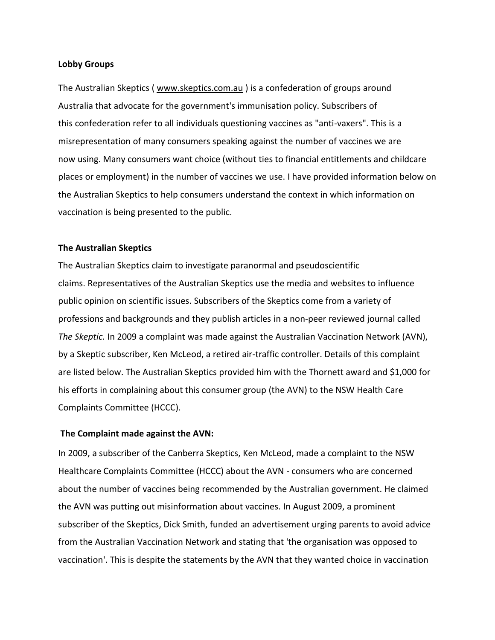## **Lobby Groups**

The Australian Skeptics ( [www.skeptics.com.au](http://www.skeptics.com.au/) ) is a confederation of groups around Australia that advocate for the government's immunisation policy. Subscribers of this confederation refer to all individuals questioning vaccines as "anti-vaxers". This is a misrepresentation of many consumers speaking against the number of vaccines we are now using. Many consumers want choice (without ties to financial entitlements and childcare places or employment) in the number of vaccines we use. I have provided information below on the Australian Skeptics to help consumers understand the context in which information on vaccination is being presented to the public.

## **The Australian Skeptics**

The Australian Skeptics claim to investigate paranormal and pseudoscientific claims. Representatives of the Australian Skeptics use the media and websites to influence public opinion on scientific issues. Subscribers of the Skeptics come from a variety of professions and backgrounds and they publish articles in a non-peer reviewed journal called *The Skeptic.* In 2009 a complaint was made against the Australian Vaccination Network (AVN), by a Skeptic subscriber, Ken McLeod, a retired air-traffic controller. Details of this complaint are listed below. The Australian Skeptics provided him with the Thornett award and \$1,000 for his efforts in complaining about this consumer group (the AVN) to the NSW Health Care Complaints Committee (HCCC).

## **The Complaint made against the AVN:**

In 2009, a subscriber of the Canberra Skeptics, Ken McLeod, made a complaint to the NSW Healthcare Complaints Committee (HCCC) about the AVN - consumers who are concerned about the number of vaccines being recommended by the Australian government. He claimed the AVN was putting out misinformation about vaccines. In August 2009, a prominent subscriber of the Skeptics, Dick Smith, funded an advertisement urging parents to avoid advice from the Australian Vaccination Network and stating that 'the organisation was opposed to vaccination'. This is despite the statements by the AVN that they wanted choice in vaccination